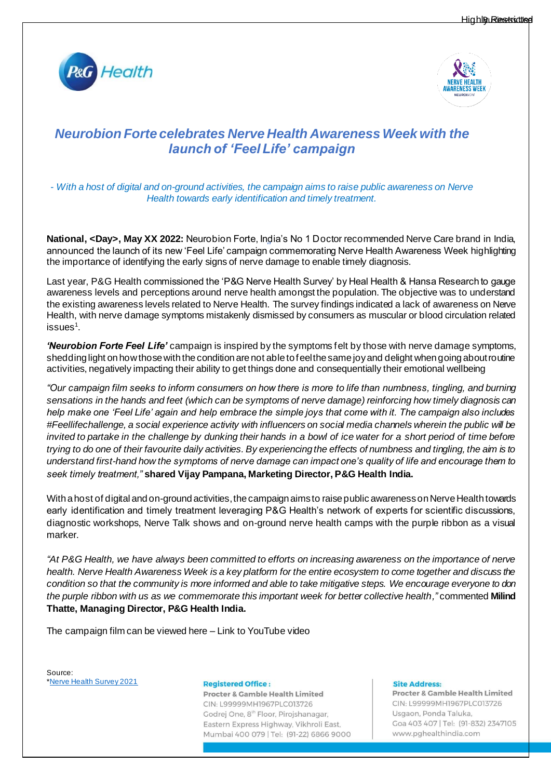



# *Neurobion Forte celebrates Nerve Health Awareness Week with the launch of 'Feel Life' campaign*

*- With a host of digital and on-ground activities, the campaign aims to raise public awareness on Nerve Health towards early identification and timely treatment.*

**National, <Day>, May XX 2022:** Neurobion Forte, India's No 1 Doctor recommended Nerve Care brand in India, announced the launch of its new 'Feel Life' campaign commemorating Nerve Health Awareness Week highlighting *''*the importance of identifying the early signs of nerve damage to enable timely diagnosis.

Last year, P&G Health commissioned the 'P&G Nerve Health Survey' by Heal Health & Hansa Research to gauge awareness levels and perceptions around nerve health amongst the population. The objective was to understand the existing awareness levels related to Nerve Health. The survey findings indicated a lack of awareness on Nerve Health, with nerve damage symptoms mistakenly dismissed by consumers as muscular or blood circulation related issues $^1$ .

*'Neurobion Forte Feel Life'* campaign is inspired by the symptoms felt by those with nerve damage symptoms, shedding light on how those with the condition are not able to feel the same joy and delight when going about routine activities, negatively impacting their ability to get things done and consequentially their emotional wellbeing

*"Our campaign film seeks to inform consumers on how there is more to life than numbness, tingling, and burning sensations in the hands and feet (which can be symptoms of nerve damage) reinforcing how timely diagnosis can help make one 'Feel Life' again and help embrace the simple joys that come with it. The campaign also includes #Feellifechallenge, a social experience activity with influencers on social media channels wherein the public will be invited to partake in the challenge by dunking their hands in a bowl of ice water for a short period of time before trying to do one of their favourite daily activities. By experiencing the effects of numbness and tingling, the aim is to understand first-hand how the symptoms of nerve damage can impact one's quality of life and encourage them to seek timely treatment,"* **shared Vijay Pampana, Marketing Director, P&G Health India.**

With a host of digital and on-ground activities, the campaign aims to raise public awareness on Nerve Health towards early identification and timely treatment leveraging P&G Health's network of experts for scientific discussions, diagnostic workshops, Nerve Talk shows and on-ground nerve health camps with the purple ribbon as a visual marker.

*"At P&G Health, we have always been committed to efforts on increasing awareness on the importance of nerve health. Nerve Health Awareness Week is a key platform for the entire ecosystem to come together and discuss the condition so that the community is more informed and able to take mitigative steps. We encourage everyone to don the purple ribbon with us as we commemorate this important week for better collective health,"* commented **Milind Thatte, Managing Director, P&G Health India.**

The campaign film can be viewed here – Link to YouTube video

Source: [\\*Nerve Health Survey 2021](https://assets.ctfassets.net/13yu1u3hrn9u/dGCpT2CJpg56XMQarLx4Z/8550f52be17f068136ad3b1dfe71961d/PG_Nerve_Health_Survey_National_Media_Release.pdf)

**Registered Office:** 

Procter & Gamble Health Limited CIN: L99999MH1967PLC013726 Godrej One, 8<sup>th</sup> Floor, Pirojshanagar, Eastern Express Highway, Vikhroli East, Mumbai 400 079 | Tel: (91-22) 6866 9000

## **Site Address:**

Procter & Gamble Health Limited CIN: L99999MH1967PLC013726 Usgaon, Ponda Taluka, Goa 403 407 | Tel: (91-832) 2347105 www.pghealthindia.com